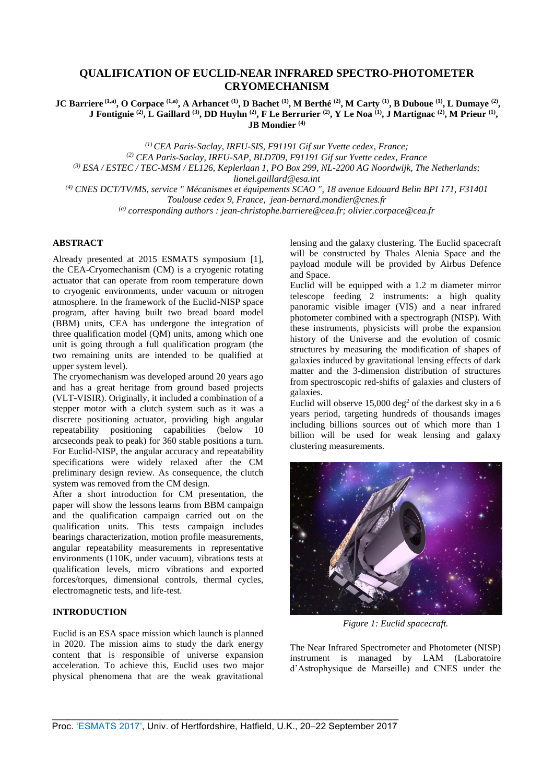# **QUALIFICATION OF EUCLID-NEAR INFRARED SPECTRO-PHOTOMETER CRYOMECHANISM**

JC Barriere  $^{(1,a)}$ , O Corpace  $^{(1,a)}$ , A Arhancet  $^{(1)}$ , D Bachet  $^{(1)}$ , M Berthé  $^{(2)}$ , M Carty  $^{(1)}$ , B Duboue  $^{(1)}$ , L Dumaye  $^{(2)}$ , J Fontignie  $^{(2)}$ , L Gaillard  $^{(3)}$ , DD Huyhn  $^{(2)}$ , F Le Berrurier  $^{(2)}$ , Y Le Noa  $^{(1)}$ , J Martignac  $^{(2)}$ , M Prieur  $^{(1)}$ , **JB Mondier (4)**

> *(1) CEA Paris-Saclay, IRFU-SIS, F91191 Gif sur Yvette cedex, France; (2) CEA Paris-Saclay, IRFU-SAP, BLD709, F91191 Gif sur Yvette cedex, France*

*(3) ESA / ESTEC / TEC-MSM / EL126, Keplerlaan 1, PO Box 299, NL-2200 AG Noordwijk, The Netherlands;* 

*lionel.gaillard@esa.int* 

*(4) CNES DCT/TV/MS, service " Mécanismes et équipements SCAO ", 18 avenue Edouard Belin BPI 171, F31401 Toulouse cedex 9, France, [jean-bernard.mondier@cnes.fr](mailto:jean-bernard.mondier@cnes.fr)*

*(a) corresponding authors [: jean-christophe.barriere@cea.fr;](mailto:jean-christophe.barriere@cea.fr) olivier.corpace@cea.fr* 

# **ABSTRACT**

Already presented at 2015 ESMATS symposium [1], the CEA-Cryomechanism (CM) is a cryogenic rotating actuator that can operate from room temperature down to cryogenic environments, under vacuum or nitrogen atmosphere. In the framework of the Euclid-NISP space program, after having built two bread board model (BBM) units, CEA has undergone the integration of three qualification model (QM) units, among which one unit is going through a full qualification program (the two remaining units are intended to be qualified at upper system level).

The cryomechanism was developed around 20 years ago and has a great heritage from ground based projects (VLT-VISIR). Originally, it included a combination of a stepper motor with a clutch system such as it was a discrete positioning actuator, providing high angular repeatability positioning capabilities (below 10 arcseconds peak to peak) for 360 stable positions a turn. For Euclid-NISP, the angular accuracy and repeatability specifications were widely relaxed after the CM preliminary design review. As consequence, the clutch system was removed from the CM design.

After a short introduction for CM presentation, the paper will show the lessons learns from BBM campaign and the qualification campaign carried out on the qualification units. This tests campaign includes bearings characterization, motion profile measurements, angular repeatability measurements in representative environments (110K, under vacuum), vibrations tests at qualification levels, micro vibrations and exported forces/torques, dimensional controls, thermal cycles, electromagnetic tests, and life-test.

## **INTRODUCTION**

Euclid is an ESA space mission which launch is planned in 2020. The mission aims to study the dark energy content that is responsible of universe expansion acceleration. To achieve this, Euclid uses two major physical phenomena that are the weak gravitational lensing and the galaxy clustering. The Euclid spacecraft will be constructed by Thales Alenia Space and the payload module will be provided by Airbus Defence and Space.

Euclid will be equipped with a 1.2 m diameter mirror telescope feeding 2 instruments: a high quality panoramic visible imager (VIS) and a near infrared photometer combined with a spectrograph (NISP). With these instruments, physicists will probe the expansion history of the Universe and the evolution of cosmic structures by measuring the modification of shapes of galaxies induced by gravitational lensing effects of dark matter and the 3-dimension distribution of structures from spectroscopic red-shifts of galaxies and clusters of galaxies.

Euclid will observe  $15,000 \text{ deg}^2$  of the darkest sky in a 6 years period, targeting hundreds of thousands images including billions sources out of which more than 1 billion will be used for weak lensing and galaxy clustering measurements.



*Figure 1: Euclid spacecraft.* 

The Near Infrared Spectrometer and Photometer (NISP) instrument is managed by LAM (Laboratoire d'Astrophysique de Marseille) and CNES under the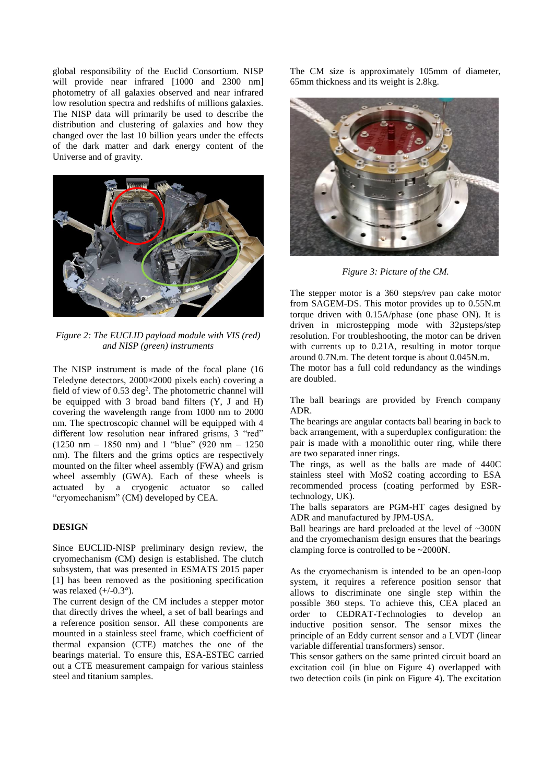global responsibility of the Euclid Consortium. NISP will provide near infrared [1000 and 2300 nm] photometry of all galaxies observed and near infrared low resolution spectra and redshifts of millions galaxies. The NISP data will primarily be used to describe the distribution and clustering of galaxies and how they changed over the last 10 billion years under the effects of the dark matter and dark energy content of the Universe and of gravity.



*Figure 2: The EUCLID payload module with VIS (red) and NISP (green) instruments*

The NISP instrument is made of the focal plane (16 Teledyne detectors, 2000×2000 pixels each) covering a field of view of 0.53 deg<sup>2</sup>. The photometric channel will be equipped with 3 broad band filters (Y, J and H) covering the wavelength range from 1000 nm to 2000 nm. The spectroscopic channel will be equipped with 4 different low resolution near infrared grisms, 3 "red" (1250 nm – 1850 nm) and 1 "blue" (920 nm – 1250 nm). The filters and the grims optics are respectively mounted on the filter wheel assembly (FWA) and grism wheel assembly (GWA). Each of these wheels is actuated by a cryogenic actuator so called "cryomechanism" (CM) developed by CEA.

## **DESIGN**

Since EUCLID-NISP preliminary design review, the cryomechanism (CM) design is established. The clutch subsystem, that was presented in ESMATS 2015 paper [1] has been removed as the positioning specification was relaxed  $(+/-0.3^{\circ})$ .

The current design of the CM includes a stepper motor that directly drives the wheel, a set of ball bearings and a reference position sensor. All these components are mounted in a stainless steel frame, which coefficient of thermal expansion (CTE) matches the one of the bearings material. To ensure this, ESA-ESTEC carried out a CTE measurement campaign for various stainless steel and titanium samples.

The CM size is approximately 105mm of diameter, 65mm thickness and its weight is 2.8kg.



*Figure 3: Picture of the CM.*

The stepper motor is a 360 steps/rev pan cake motor from SAGEM-DS. This motor provides up to 0.55N.m torque driven with 0.15A/phase (one phase ON). It is driven in microstepping mode with 32µsteps/step resolution. For troubleshooting, the motor can be driven with currents up to 0.21A, resulting in motor torque around 0.7N.m. The detent torque is about 0.045N.m.

The motor has a full cold redundancy as the windings are doubled.

The ball bearings are provided by French company ADR.

The bearings are angular contacts ball bearing in back to back arrangement, with a superduplex configuration: the pair is made with a monolithic outer ring, while there are two separated inner rings.

The rings, as well as the balls are made of 440C stainless steel with MoS2 coating according to ESA recommended process (coating performed by ESRtechnology, UK).

The balls separators are PGM-HT cages designed by ADR and manufactured by JPM-USA.

Ball bearings are hard preloaded at the level of ~300N and the cryomechanism design ensures that the bearings clamping force is controlled to be ~2000N.

As the cryomechanism is intended to be an open-loop system, it requires a reference position sensor that allows to discriminate one single step within the possible 360 steps. To achieve this, CEA placed an order to CEDRAT-Technologies to develop an inductive position sensor. The sensor mixes the principle of an Eddy current sensor and a LVDT (linear variable differential transformers) sensor.

This sensor gathers on the same printed circuit board an excitation coil (in blue on [Figure 4\)](#page-2-0) overlapped with two detection coils (in pink on [Figure 4\)](#page-2-0). The excitation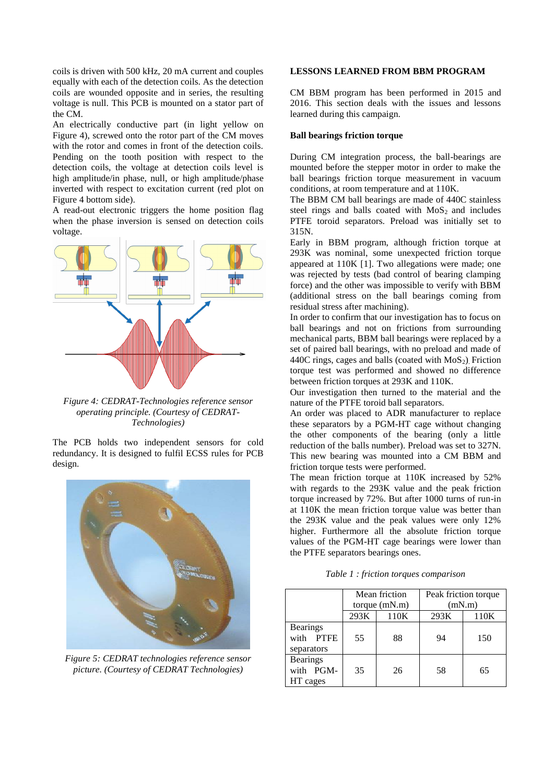coils is driven with 500 kHz, 20 mA current and couples equally with each of the detection coils. As the detection coils are wounded opposite and in series, the resulting voltage is null. This PCB is mounted on a stator part of the CM.

An electrically conductive part (in light yellow on [Figure 4\)](#page-2-0), screwed onto the rotor part of the CM moves with the rotor and comes in front of the detection coils. Pending on the tooth position with respect to the detection coils, the voltage at detection coils level is high amplitude/in phase, null, or high amplitude/phase inverted with respect to excitation current (red plot on [Figure 4 b](#page-2-0)ottom side).

A read-out electronic triggers the home position flag when the phase inversion is sensed on detection coils voltage.



<span id="page-2-0"></span>*Figure 4: CEDRAT-Technologies reference sensor operating principle. (Courtesy of CEDRAT-Technologies)* 

The PCB holds two independent sensors for cold redundancy. It is designed to fulfil ECSS rules for PCB design.



*Figure 5: CEDRAT technologies reference sensor picture. (Courtesy of CEDRAT Technologies)* 

#### **LESSONS LEARNED FROM BBM PROGRAM**

CM BBM program has been performed in 2015 and 2016. This section deals with the issues and lessons learned during this campaign.

#### **Ball bearings friction torque**

During CM integration process, the ball-bearings are mounted before the stepper motor in order to make the ball bearings friction torque measurement in vacuum conditions, at room temperature and at 110K.

The BBM CM ball bearings are made of 440C stainless steel rings and balls coated with  $MoS<sub>2</sub>$  and includes PTFE toroid separators. Preload was initially set to 315N.

Early in BBM program, although friction torque at 293K was nominal, some unexpected friction torque appeared at 110K [1]. Two allegations were made; one was rejected by tests (bad control of bearing clamping force) and the other was impossible to verify with BBM (additional stress on the ball bearings coming from residual stress after machining).

In order to confirm that our investigation has to focus on ball bearings and not on frictions from surrounding mechanical parts, BBM ball bearings were replaced by a set of paired ball bearings, with no preload and made of 440C rings, cages and balls (coated with  $MoS<sub>2</sub>$ ). Friction torque test was performed and showed no difference between friction torques at 293K and 110K.

Our investigation then turned to the material and the nature of the PTFE toroid ball separators.

An order was placed to ADR manufacturer to replace these separators by a PGM-HT cage without changing the other components of the bearing (only a little reduction of the balls number). Preload was set to 327N. This new bearing was mounted into a CM BBM and friction torque tests were performed.

The mean friction torque at 110K increased by 52% with regards to the 293K value and the peak friction torque increased by 72%. But after 1000 turns of run-in at 110K the mean friction torque value was better than the 293K value and the peak values were only 12% higher. Furthermore all the absolute friction torque values of the PGM-HT cage bearings were lower than the PTFE separators bearings ones.

*Table 1 : friction torques comparison* 

|                                            | Mean friction<br>torque $(mN.m)$ |      | Peak friction torque<br>(mN.m) |      |  |
|--------------------------------------------|----------------------------------|------|--------------------------------|------|--|
|                                            | 293K                             | 110K | 293K                           | 110K |  |
| <b>Bearings</b><br>with PTFE<br>separators | 55                               | 88   | 94                             | 150  |  |
| <b>Bearings</b><br>with PGM-<br>HT cages   | 35                               | 26   | 58                             | 65   |  |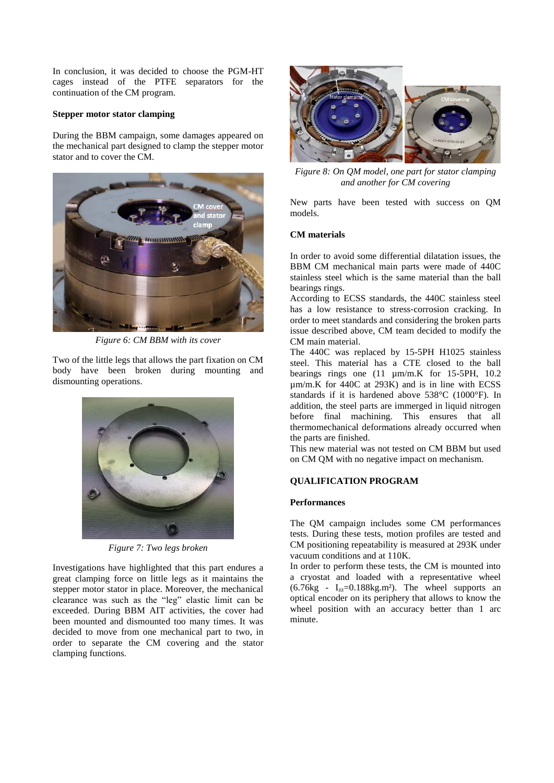In conclusion, it was decided to choose the PGM-HT cages instead of the PTFE separators for the continuation of the CM program.

#### **Stepper motor stator clamping**

During the BBM campaign, some damages appeared on the mechanical part designed to clamp the stepper motor stator and to cover the CM.



*Figure 6: CM BBM with its cover*

Two of the little legs that allows the part fixation on CM body have been broken during mounting and dismounting operations.



*Figure 7: Two legs broken*

Investigations have highlighted that this part endures a great clamping force on little legs as it maintains the stepper motor stator in place. Moreover, the mechanical clearance was such as the "leg" elastic limit can be exceeded. During BBM AIT activities, the cover had been mounted and dismounted too many times. It was decided to move from one mechanical part to two, in order to separate the CM covering and the stator clamping functions.



*Figure 8: On QM model, one part for stator clamping and another for CM covering*

New parts have been tested with success on QM models.

## **CM materials**

In order to avoid some differential dilatation issues, the BBM CM mechanical main parts were made of 440C stainless steel which is the same material than the ball bearings rings.

According to ECSS standards, the 440C stainless steel has a low resistance to stress-corrosion cracking. In order to meet standards and considering the broken parts issue described above, CM team decided to modify the CM main material.

The 440C was replaced by 15-5PH H1025 stainless steel. This material has a CTE closed to the ball bearings rings one  $(11 \text{ µm/m.K}$  for 15-5PH, 10.2 µm/m.K for 440C at 293K) and is in line with ECSS standards if it is hardened above 538°C (1000°F). In addition, the steel parts are immerged in liquid nitrogen before final machining. This ensures that all thermomechanical deformations already occurred when the parts are finished.

This new material was not tested on CM BBM but used on CM QM with no negative impact on mechanism.

# **QUALIFICATION PROGRAM**

## **Performances**

The QM campaign includes some CM performances tests. During these tests, motion profiles are tested and CM positioning repeatability is measured at 293K under vacuum conditions and at 110K.

In order to perform these tests, the CM is mounted into a cryostat and loaded with a representative wheel  $(6.76kg - I_{zz} = 0.188kg.m^2)$ . The wheel supports an optical encoder on its periphery that allows to know the wheel position with an accuracy better than 1 arc minute.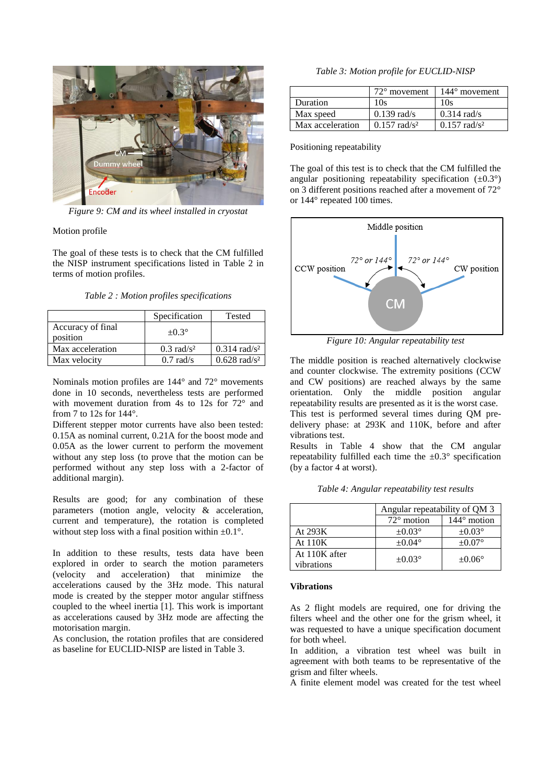

*Figure 9: CM and its wheel installed in cryostat*

Motion profile

The goal of these tests is to check that the CM fulfilled the NISP instrument specifications listed in [Table 2](#page-4-0) in terms of motion profiles.

*Table 2 : Motion profiles specifications*

<span id="page-4-0"></span>

|                               | Specification            | Tested                  |
|-------------------------------|--------------------------|-------------------------|
| Accuracy of final<br>position | $\pm 0.3^\circ$          |                         |
| Max acceleration              | $0.3$ rad/s <sup>2</sup> | $0.314 \text{ rad/s}^2$ |
| Max velocity                  | $0.7$ rad/s              | $0.628 \text{ rad/s}^2$ |

Nominals motion profiles are 144° and 72° movements done in 10 seconds, nevertheless tests are performed with movement duration from 4s to 12s for 72° and from 7 to 12s for  $144^\circ$ .

Different stepper motor currents have also been tested: 0.15A as nominal current, 0.21A for the boost mode and 0.05A as the lower current to perform the movement without any step loss (to prove that the motion can be performed without any step loss with a 2-factor of additional margin).

Results are good; for any combination of these parameters (motion angle, velocity & acceleration, current and temperature), the rotation is completed without step loss with a final position within  $\pm 0.1^{\circ}$ .

In addition to these results, tests data have been explored in order to search the motion parameters (velocity and acceleration) that minimize the accelerations caused by the 3Hz mode. This natural mode is created by the stepper motor angular stiffness coupled to the wheel inertia [1]. This work is important as accelerations caused by 3Hz mode are affecting the motorisation margin.

As conclusion, the rotation profiles that are considered as baseline for EUCLID-NISP are listed in [Table 3.](#page-4-1)

*Table 3: Motion profile for EUCLID-NISP*

<span id="page-4-1"></span>

|                  | $72^{\circ}$ movement      | $144^{\circ}$ movement  |
|------------------|----------------------------|-------------------------|
| Duration         | 10s                        | 10s                     |
| Max speed        | $0.139$ rad/s              | $0.314$ rad/s           |
| Max acceleration | $0.157$ rad/s <sup>2</sup> | $0.157 \text{ rad/s}^2$ |

Positioning repeatability

The goal of this test is to check that the CM fulfilled the angular positioning repeatability specification  $(\pm 0.3^{\circ})$ on 3 different positions reached after a movement of 72° or 144° repeated 100 times.



*Figure 10: Angular repeatability test*

The middle position is reached alternatively clockwise and counter clockwise. The extremity positions (CCW and CW positions) are reached always by the same orientation. Only the middle position angular repeatability results are presented as it is the worst case. This test is performed several times during QM predelivery phase: at 293K and 110K, before and after vibrations test.

Results in [Table 4](#page-4-2) show that the CM angular repeatability fulfilled each time the  $\pm 0.3^\circ$  specification (by a factor 4 at worst).

| Table 4: Angular repeatability test results |  |  |
|---------------------------------------------|--|--|
|---------------------------------------------|--|--|

<span id="page-4-2"></span>

|                             | Angular repeatability of QM 3 |                    |
|-----------------------------|-------------------------------|--------------------|
|                             | $72^{\circ}$ motion           | $144^\circ$ motion |
| At 293K                     | $\pm 0.03^{\circ}$            | $\pm 0.03^{\circ}$ |
| At 110K                     | $\pm 0.04^{\circ}$            | $\pm 0.07^{\circ}$ |
| At 110K after<br>vibrations | $\pm 0.03^{\circ}$            | $\pm 0.06^\circ$   |

#### **Vibrations**

As 2 flight models are required, one for driving the filters wheel and the other one for the grism wheel, it was requested to have a unique specification document for both wheel.

In addition, a vibration test wheel was built in agreement with both teams to be representative of the grism and filter wheels.

A finite element model was created for the test wheel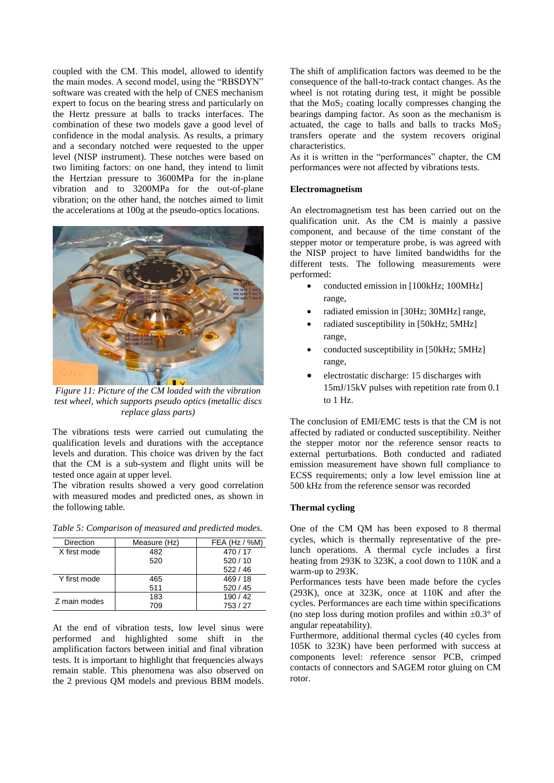coupled with the CM. This model, allowed to identify the main modes. A second model, using the "RBSDYN" software was created with the help of CNES mechanism expert to focus on the bearing stress and particularly on the Hertz pressure at balls to tracks interfaces. The combination of these two models gave a good level of confidence in the modal analysis. As results, a primary and a secondary notched were requested to the upper level (NISP instrument). These notches were based on two limiting factors: on one hand, they intend to limit the Hertzian pressure to 3600MPa for the in-plane vibration and to 3200MPa for the out-of-plane vibration; on the other hand, the notches aimed to limit the accelerations at 100g at the pseudo-optics locations.



*Figure 11: Picture of the CM loaded with the vibration test wheel, which supports pseudo optics (metallic discs replace glass parts)*

The vibrations tests were carried out cumulating the qualification levels and durations with the acceptance levels and duration. This choice was driven by the fact that the CM is a sub-system and flight units will be tested once again at upper level.

The vibration results showed a very good correlation with measured modes and predicted ones, as shown in the following table.

|  | Table 5: Comparison of measured and predicted modes. |  |  |
|--|------------------------------------------------------|--|--|
|  |                                                      |  |  |

| Direction    | Measure (Hz) | FEA (Hz / $%M$ ) |
|--------------|--------------|------------------|
| X first mode | 482          | 470/17           |
|              | 520          | 520/10           |
|              |              | 522/46           |
| Y first mode | 465          | 469/18           |
|              | 511          | 520/45           |
| Z main modes | 183          | 190/42           |
|              | 709          | 753/27           |

At the end of vibration tests, low level sinus were performed and highlighted some shift in the amplification factors between initial and final vibration tests. It is important to highlight that frequencies always remain stable. This phenomena was also observed on the 2 previous QM models and previous BBM models. The shift of amplification factors was deemed to be the consequence of the ball-to-track contact changes. As the wheel is not rotating during test, it might be possible that the  $MoS<sub>2</sub>$  coating locally compresses changing the bearings damping factor. As soon as the mechanism is actuated, the cage to balls and balls to tracks  $MoS<sub>2</sub>$ transfers operate and the system recovers original characteristics.

As it is written in the "performances" chapter, the CM performances were not affected by vibrations tests.

#### **Electromagnetism**

An electromagnetism test has been carried out on the qualification unit. As the CM is mainly a passive component, and because of the time constant of the stepper motor or temperature probe, is was agreed with the NISP project to have limited bandwidths for the different tests. The following measurements were performed:

- conducted emission in [100kHz; 100MHz] range,
- radiated emission in [30Hz; 30MHz] range,
- radiated susceptibility in [50kHz; 5MHz] range,
- conducted susceptibility in [50kHz; 5MHz] range,
- electrostatic discharge: 15 discharges with 15mJ/15kV pulses with repetition rate from 0.1 to 1 Hz.

The conclusion of EMI/EMC tests is that the CM is not affected by radiated or conducted susceptibility. Neither the stepper motor nor the reference sensor reacts to external perturbations. Both conducted and radiated emission measurement have shown full compliance to ECSS requirements; only a low level emission line at 500 kHz from the reference sensor was recorded

# **Thermal cycling**

One of the CM QM has been exposed to 8 thermal cycles, which is thermally representative of the prelunch operations. A thermal cycle includes a first heating from 293K to 323K, a cool down to 110K and a warm-up to 293K.

Performances tests have been made before the cycles (293K), once at 323K, once at 110K and after the cycles. Performances are each time within specifications (no step loss during motion profiles and within  $\pm 0.3^\circ$  of angular repeatability).

Furthermore, additional thermal cycles (40 cycles from 105K to 323K) have been performed with success at components level: reference sensor PCB, crimped contacts of connectors and SAGEM rotor gluing on CM rotor.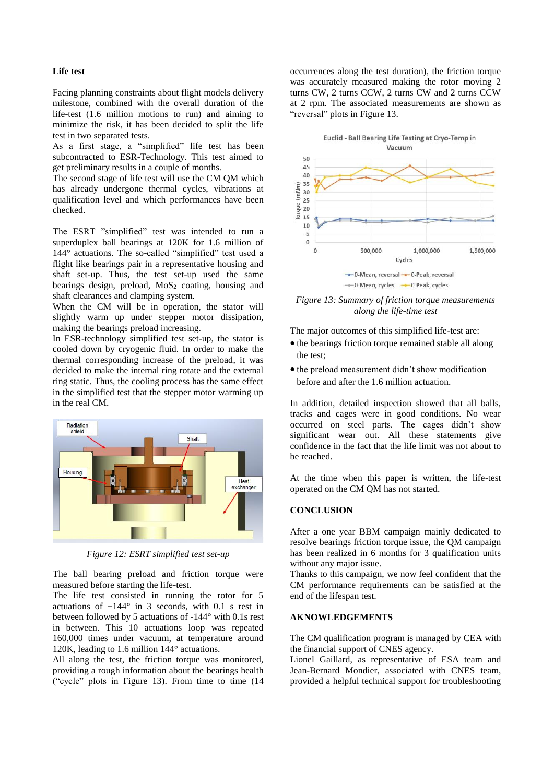#### **Life test**

Facing planning constraints about flight models delivery milestone, combined with the overall duration of the life-test (1.6 million motions to run) and aiming to minimize the risk, it has been decided to split the life test in two separated tests.

As a first stage, a "simplified" life test has been subcontracted to ESR-Technology. This test aimed to get preliminary results in a couple of months.

The second stage of life test will use the CM QM which has already undergone thermal cycles, vibrations at qualification level and which performances have been checked.

The ESRT "simplified" test was intended to run a superduplex ball bearings at 120K for 1.6 million of 144° actuations. The so-called "simplified" test used a flight like bearings pair in a representative housing and shaft set-up. Thus, the test set-up used the same bearings design, preload,  $MoS<sub>2</sub>$  coating, housing and shaft clearances and clamping system.

When the CM will be in operation, the stator will slightly warm up under stepper motor dissipation, making the bearings preload increasing.

In ESR-technology simplified test set-up, the stator is cooled down by cryogenic fluid. In order to make the thermal corresponding increase of the preload, it was decided to make the internal ring rotate and the external ring static. Thus, the cooling process has the same effect in the simplified test that the stepper motor warming up in the real CM.



*Figure 12: ESRT simplified test set-up*

The ball bearing preload and friction torque were measured before starting the life-test.

The life test consisted in running the rotor for 5 actuations of  $+144^{\circ}$  in 3 seconds, with 0.1 s rest in between followed by 5 actuations of -144° with 0.1s rest in between. This 10 actuations loop was repeated 160,000 times under vacuum, at temperature around 120K, leading to 1.6 million 144° actuations.

All along the test, the friction torque was monitored, providing a rough information about the bearings health ("cycle" plots in [Figure 13\)](#page-6-0). From time to time (14 occurrences along the test duration), the friction torque was accurately measured making the rotor moving 2 turns CW, 2 turns CCW, 2 turns CW and 2 turns CCW at 2 rpm. The associated measurements are shown as "reversal" plots in [Figure 13.](#page-6-0)





<span id="page-6-0"></span>*Figure 13: Summary of friction torque measurements along the life-time test*

The major outcomes of this simplified life-test are:

- the bearings friction torque remained stable all along the test;
- $\bullet$  the preload measurement didn't show modification before and after the 1.6 million actuation.

In addition, detailed inspection showed that all balls, tracks and cages were in good conditions. No wear occurred on steel parts. The cages didn't show significant wear out. All these statements give confidence in the fact that the life limit was not about to be reached.

At the time when this paper is written, the life-test operated on the CM QM has not started.

### **CONCLUSION**

After a one year BBM campaign mainly dedicated to resolve bearings friction torque issue, the QM campaign has been realized in 6 months for 3 qualification units without any major issue.

Thanks to this campaign, we now feel confident that the CM performance requirements can be satisfied at the end of the lifespan test.

## **AKNOWLEDGEMENTS**

The CM qualification program is managed by CEA with the financial support of CNES agency.

Lionel Gaillard, as representative of ESA team and Jean-Bernard Mondier, associated with CNES team, provided a helpful technical support for troubleshooting